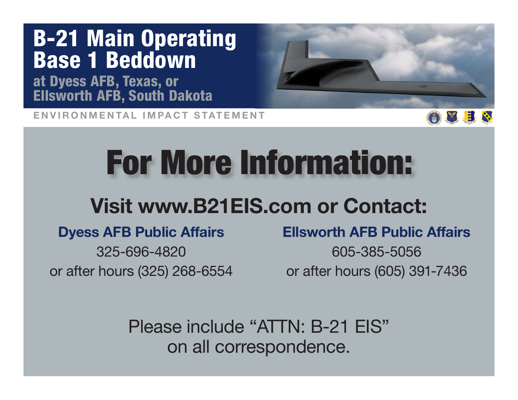at Dyess AFB, Texas, or Ellsworth AFB, South Dakota

ENVIRONMENTAL IMPACT STATEMENT



# For More Information:

### Visit www.B21EIS.com or Contact:

#### Dyess AFB Public Affairs

325-696-4820 or after hours (325) 268-6554

#### Ellsworth AFB Public Affairs

605-385-5056 or after hours (605) 391-7436

Please include "ATTN: B-21 EIS" on all correspondence.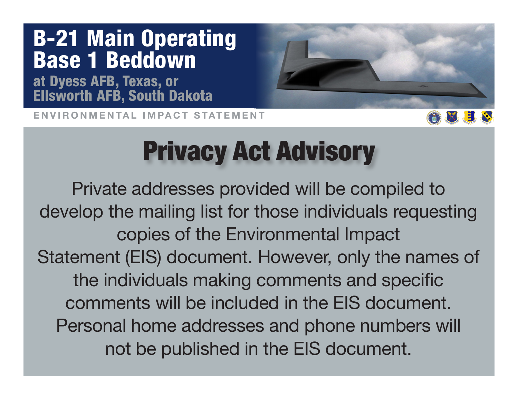at Dyess AFB, Texas, or Ellsworth AFB, South Dakota

ENVIRONMENTAL IMPACT STATEMENT



## Privacy Act Advisory

Private addresses provided will be compiled to develop the mailing list for those individuals requesting copies of the Environmental Impact Statement (EIS) document. However, only the names of the individuals making comments and specific comments will be included in the EIS document. Personal home addresses and phone numbers will not be published in the EIS document.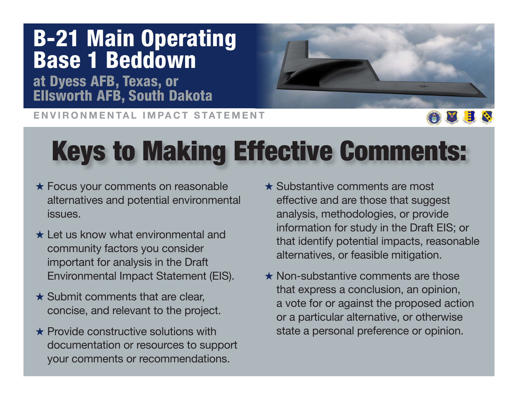at Dyess AFB, Texas, or Ellsworth AFB, South Dakota

ENVIRONMENTAL IMPACT STATEMENT



## Keys to Making Effective Comments:

- $\star$  Focus your comments on reasonable alternatives and potential environmental issues.
- $\star$  Let us know what environmental and community factors you consider important for analysis in the Draft Environmental Impact Statement (EIS).
- $\star$  Submit comments that are clear. concise, and relevant to the project.
- $\star$  Provide constructive solutions with documentation or resources to support your comments or recommendations.
- $\star$  Substantive comments are most effective and are those that suggest analysis, methodologies, or provide information for study in the Draft EIS; or that identify potential impacts, reasonable alternatives, or feasible mitigation.
- $\star$  Non-substantive comments are those that express a conclusion, an opinion, a vote for or against the proposed action or a particular alternative, or otherwise state a personal preference or opinion.